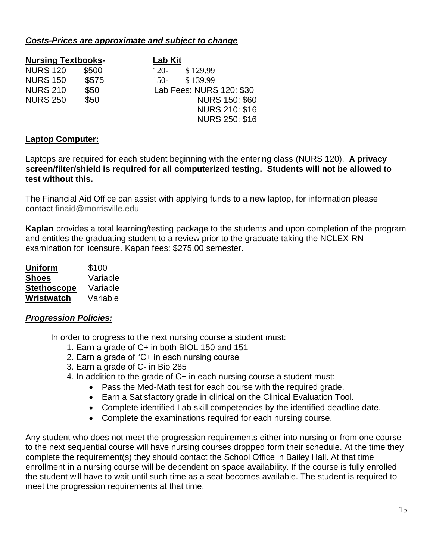#### *Costs-Prices are approximate and subject to change*

| <b>Nursing Textbooks-</b> |       | Lab Kit                  |  |
|---------------------------|-------|--------------------------|--|
| <b>NURS 120</b>           | \$500 | \$129.99<br>$120-$       |  |
| <b>NURS 150</b>           | \$575 | \$139.99<br>$150-$       |  |
| <b>NURS 210</b>           | \$50  | Lab Fees: NURS 120: \$30 |  |
| <b>NURS 250</b>           | \$50  | <b>NURS 150: \$60</b>    |  |
|                           |       | <b>NURS 210: \$16</b>    |  |
|                           |       | <b>NURS 250: \$16</b>    |  |

#### **Laptop Computer:**

Laptops are required for each student beginning with the entering class (NURS 120). **A privacy screen/filter/shield is required for all computerized testing. Students will not be allowed to test without this.**

The Financial Aid Office can assist with applying funds to a new laptop, for information please contact finaid@morrisville.edu

**Kaplan** provides a total learning/testing package to the students and upon completion of the program and entitles the graduating student to a review prior to the graduate taking the NCLEX-RN examination for licensure. Kapan fees: \$275.00 semester.

| <b>Uniform</b>     | \$100    |
|--------------------|----------|
| <b>Shoes</b>       | Variable |
| <b>Stethoscope</b> | Variable |
| Wristwatch         | Variable |

## *Progression Policies:*

In order to progress to the next nursing course a student must:

- 1. Earn a grade of C+ in both BIOL 150 and 151
- 2. Earn a grade of "C+ in each nursing course
- 3. Earn a grade of C- in Bio 285
- 4. In addition to the grade of C+ in each nursing course a student must:
	- Pass the Med-Math test for each course with the required grade.
	- Earn a Satisfactory grade in clinical on the Clinical Evaluation Tool.
	- Complete identified Lab skill competencies by the identified deadline date.
	- Complete the examinations required for each nursing course.

Any student who does not meet the progression requirements either into nursing or from one course to the next sequential course will have nursing courses dropped form their schedule. At the time they complete the requirement(s) they should contact the School Office in Bailey Hall. At that time enrollment in a nursing course will be dependent on space availability. If the course is fully enrolled the student will have to wait until such time as a seat becomes available. The student is required to meet the progression requirements at that time.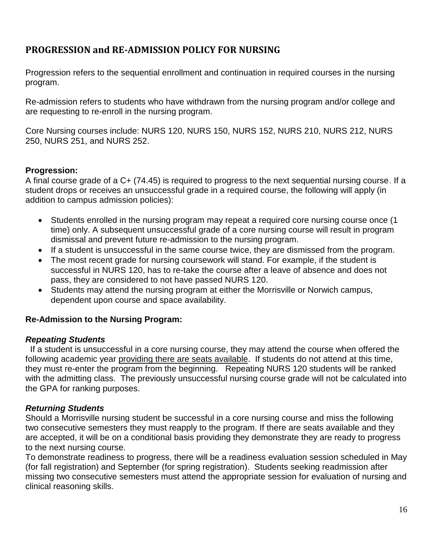# **PROGRESSION and RE-ADMISSION POLICY FOR NURSING**

Progression refers to the sequential enrollment and continuation in required courses in the nursing program.

Re-admission refers to students who have withdrawn from the nursing program and/or college and are requesting to re-enroll in the nursing program.

Core Nursing courses include: NURS 120, NURS 150, NURS 152, NURS 210, NURS 212, NURS 250, NURS 251, and NURS 252.

## **Progression:**

A final course grade of a C+ (74.45) is required to progress to the next sequential nursing course. If a student drops or receives an unsuccessful grade in a required course, the following will apply (in addition to campus admission policies):

- Students enrolled in the nursing program may repeat a required core nursing course once (1) time) only. A subsequent unsuccessful grade of a core nursing course will result in program dismissal and prevent future re-admission to the nursing program.
- If a student is unsuccessful in the same course twice, they are dismissed from the program.
- The most recent grade for nursing coursework will stand. For example, if the student is successful in NURS 120, has to re-take the course after a leave of absence and does not pass, they are considered to not have passed NURS 120.
- Students may attend the nursing program at either the Morrisville or Norwich campus, dependent upon course and space availability.

## **Re-Admission to the Nursing Program:**

## *Repeating Students*

If a student is unsuccessful in a core nursing course, they may attend the course when offered the following academic year providing there are seats available. If students do not attend at this time, they must re-enter the program from the beginning. Repeating NURS 120 students will be ranked with the admitting class. The previously unsuccessful nursing course grade will not be calculated into the GPA for ranking purposes.

## *Returning Students*

Should a Morrisville nursing student be successful in a core nursing course and miss the following two consecutive semesters they must reapply to the program. If there are seats available and they are accepted, it will be on a conditional basis providing they demonstrate they are ready to progress to the next nursing course.

To demonstrate readiness to progress, there will be a readiness evaluation session scheduled in May (for fall registration) and September (for spring registration). Students seeking readmission after missing two consecutive semesters must attend the appropriate session for evaluation of nursing and clinical reasoning skills.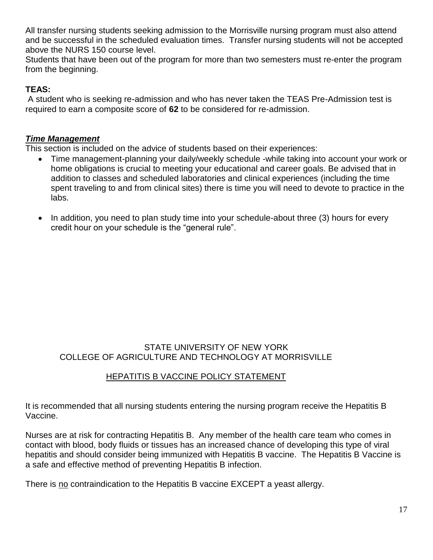All transfer nursing students seeking admission to the Morrisville nursing program must also attend and be successful in the scheduled evaluation times. Transfer nursing students will not be accepted above the NURS 150 course level.

Students that have been out of the program for more than two semesters must re-enter the program from the beginning.

# **TEAS:**

A student who is seeking re-admission and who has never taken the TEAS Pre-Admission test is required to earn a composite score of **62** to be considered for re-admission.

#### *Time Management*

This section is included on the advice of students based on their experiences:

- Time management-planning your daily/weekly schedule -while taking into account your work or home obligations is crucial to meeting your educational and career goals. Be advised that in addition to classes and scheduled laboratories and clinical experiences (including the time spent traveling to and from clinical sites) there is time you will need to devote to practice in the labs.
- In addition, you need to plan study time into your schedule-about three (3) hours for every credit hour on your schedule is the "general rule".

#### STATE UNIVERSITY OF NEW YORK COLLEGE OF AGRICULTURE AND TECHNOLOGY AT MORRISVILLE

# HEPATITIS B VACCINE POLICY STATEMENT

It is recommended that all nursing students entering the nursing program receive the Hepatitis B Vaccine.

Nurses are at risk for contracting Hepatitis B. Any member of the health care team who comes in contact with blood, body fluids or tissues has an increased chance of developing this type of viral hepatitis and should consider being immunized with Hepatitis B vaccine. The Hepatitis B Vaccine is a safe and effective method of preventing Hepatitis B infection.

There is no contraindication to the Hepatitis B vaccine EXCEPT a yeast allergy.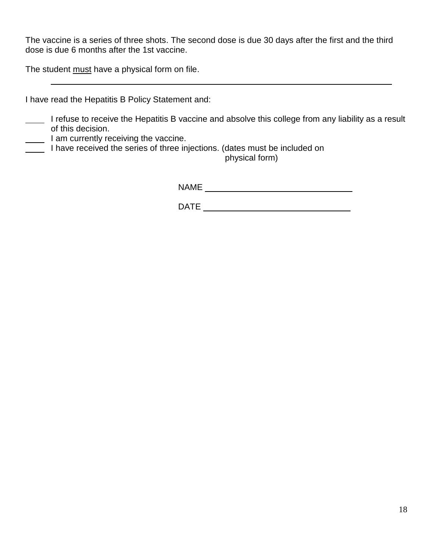The vaccine is a series of three shots. The second dose is due 30 days after the first and the third dose is due 6 months after the 1st vaccine.

The student must have a physical form on file.

I have read the Hepatitis B Policy Statement and:

- I refuse to receive the Hepatitis B vaccine and absolve this college from any liability as a result of this decision.
- I am currently receiving the vaccine.
- I have received the series of three injections. (dates must be included on

physical form)

NAME \_\_\_\_\_\_\_\_\_\_\_\_\_\_\_\_\_\_\_\_\_\_\_\_\_\_\_\_\_\_\_

 $\mathsf{DATE}$   $\qquad \qquad \blacksquare$